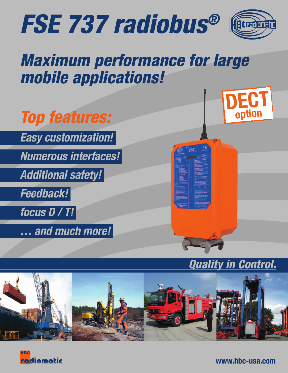



# Maximum performance for large mobile applications!



## Quality in Control.





www.hbc-usa.com